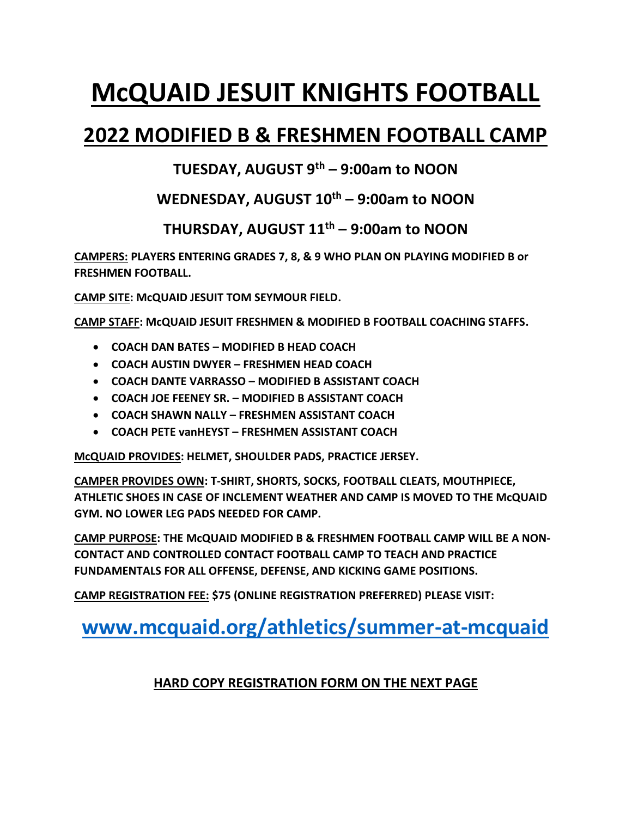# **McQUAID JESUIT KNIGHTS FOOTBALL**

## **2022 MODIFIED B & FRESHMEN FOOTBALL CAMP**

#### **TUESDAY, AUGUST 9th – 9:00am to NOON**

#### **WEDNESDAY, AUGUST 10th – 9:00am to NOON**

#### **THURSDAY, AUGUST 11th – 9:00am to NOON**

**CAMPERS: PLAYERS ENTERING GRADES 7, 8, & 9 WHO PLAN ON PLAYING MODIFIED B or FRESHMEN FOOTBALL.**

**CAMP SITE: McQUAID JESUIT TOM SEYMOUR FIELD.**

**CAMP STAFF: McQUAID JESUIT FRESHMEN & MODIFIED B FOOTBALL COACHING STAFFS.**

- **COACH DAN BATES – MODIFIED B HEAD COACH**
- **COACH AUSTIN DWYER – FRESHMEN HEAD COACH**
- **COACH DANTE VARRASSO – MODIFIED B ASSISTANT COACH**
- **COACH JOE FEENEY SR. – MODIFIED B ASSISTANT COACH**
- **COACH SHAWN NALLY – FRESHMEN ASSISTANT COACH**
- **COACH PETE vanHEYST – FRESHMEN ASSISTANT COACH**

**McQUAID PROVIDES: HELMET, SHOULDER PADS, PRACTICE JERSEY.**

**CAMPER PROVIDES OWN: T-SHIRT, SHORTS, SOCKS, FOOTBALL CLEATS, MOUTHPIECE, ATHLETIC SHOES IN CASE OF INCLEMENT WEATHER AND CAMP IS MOVED TO THE McQUAID GYM. NO LOWER LEG PADS NEEDED FOR CAMP.** 

**CAMP PURPOSE: THE McQUAID MODIFIED B & FRESHMEN FOOTBALL CAMP WILL BE A NON-CONTACT AND CONTROLLED CONTACT FOOTBALL CAMP TO TEACH AND PRACTICE FUNDAMENTALS FOR ALL OFFENSE, DEFENSE, AND KICKING GAME POSITIONS.**

**CAMP REGISTRATION FEE: \$75 (ONLINE REGISTRATION PREFERRED) PLEASE VISIT:**

## **[www.mcquaid.org/athletics/summer-at-mcquaid](http://www.mcquaid.org/athletics/summer-at-mcquaid)**

#### **HARD COPY REGISTRATION FORM ON THE NEXT PAGE**